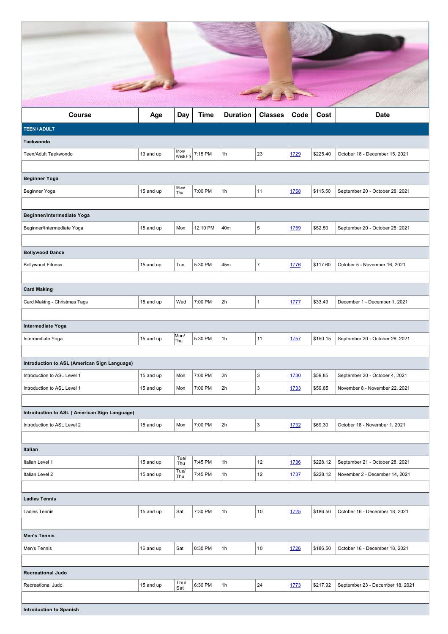| <b>Course</b>                                | Age       | Day         | <b>Time</b> | <b>Duration</b> | <b>Classes</b> | Code | Cost     | <b>Date</b>                      |
|----------------------------------------------|-----------|-------------|-------------|-----------------|----------------|------|----------|----------------------------------|
| <b>TEEN / ADULT</b>                          |           |             |             |                 |                |      |          |                                  |
| <b>Taekwondo</b>                             |           | Mon/        |             |                 |                |      |          |                                  |
| Teen/Adult Taekwondo                         | 13 and up | Wed/Fri     | 7:15 PM     | 1h              | 23             | 1729 | \$225.40 | October 18 - December 15, 2021   |
|                                              |           |             |             |                 |                |      |          |                                  |
| <b>Beginner Yoga</b>                         |           | Mon/        | 7:00 PM     |                 |                |      |          |                                  |
| Beginner Yoga                                | 15 and up | Thu         |             | 1h              | 11             | 1758 | \$115.50 | September 20 - October 28, 2021  |
| Beginner/Intermediate Yoga                   |           |             |             |                 |                |      |          |                                  |
| Beginner/Intermediate Yoga                   | 15 and up | Mon         | 12:10 PM    | 40m             | 5              | 1759 | \$52.50  | September 20 - October 25, 2021  |
|                                              |           |             |             |                 |                |      |          |                                  |
| <b>Bollywood Dance</b>                       |           |             |             |                 |                |      |          |                                  |
| <b>Bollywood Fitness</b>                     | 15 and up | Tue         | 5:30 PM     | 45m             | $\overline{7}$ | 1776 | \$117.60 | October 5 - November 16, 2021    |
|                                              |           |             |             |                 |                |      |          |                                  |
| <b>Card Making</b>                           |           |             |             |                 |                |      |          |                                  |
| Card Making - Christmas Tags                 | 15 and up | Wed         | 7:00 PM     | 2h              | $\mathbf{1}$   | 1777 | \$33.49  | December 1 - December 1, 2021    |
|                                              |           |             |             |                 |                |      |          |                                  |
| Intermediate Yoga                            |           |             |             |                 |                |      |          |                                  |
| Intermediate Yoga                            | 15 and up | Mon/<br>Thu | 5:30 PM     | 1h              | 11             | 1757 | \$150.15 | September 20 - October 28, 2021  |
|                                              |           |             |             |                 |                |      |          |                                  |
| Introduction to ASL (American Sign Language) |           |             |             |                 |                |      |          |                                  |
| Introduction to ASL Level 1                  | 15 and up | Mon         | 7:00 PM     | 2h              | 3              | 1730 | \$59.85  | September 20 - October 4, 2021   |
| Introduction to ASL Level 1                  | 15 and up | Mon         | 7:00 PM     | 2h              | 3              | 1733 | \$59.85  | November 8 - November 22, 2021   |
|                                              |           |             |             |                 |                |      |          |                                  |
| Introduction to ASL (American Sign Language) |           |             |             |                 |                |      |          |                                  |
| Introduction to ASL Level 2                  | 15 and up | Mon         | 7:00 PM     | 2h              | 3              | 1732 | \$69.30  | October 18 - November 1, 2021    |
|                                              |           |             |             |                 |                |      |          |                                  |
| Italian                                      |           | Tuel        |             |                 |                |      |          |                                  |
| Italian Level 1                              | 15 and up | Thu<br>Tue/ | 7:45 PM     | 1h              | 12             | 1736 | \$228.12 | September 21 - October 28, 2021  |
| Italian Level 2                              | 15 and up | Thu         | 7:45 PM     | 1h              | 12             | 1737 | \$228.12 | November 2 - December 14, 2021   |
| <b>Ladies Tennis</b>                         |           |             |             |                 |                |      |          |                                  |
| Ladies Tennis                                | 15 and up | Sat         | 7:30 PM     | 1h              | $10$           | 1725 | \$186.50 | October 16 - December 18, 2021   |
|                                              |           |             |             |                 |                |      |          |                                  |
| <b>Men's Tennis</b>                          |           |             |             |                 |                |      |          |                                  |
| Men's Tennis                                 | 16 and up | Sat         | 8:30 PM     | 1h              | $10$           | 1726 | \$186.50 | October 16 - December 18, 2021   |
|                                              |           |             |             |                 |                |      |          |                                  |
| <b>Recreational Judo</b>                     |           |             |             |                 |                |      |          |                                  |
| Recreational Judo                            | 15 and up | Thu/<br>Sat | 6:30 PM     | 1h              | 24             | 1773 | \$217.92 | September 23 - December 18, 2021 |
|                                              |           |             |             |                 |                |      |          |                                  |
| <b>Introduction to Spanish</b>               |           |             |             |                 |                |      |          |                                  |